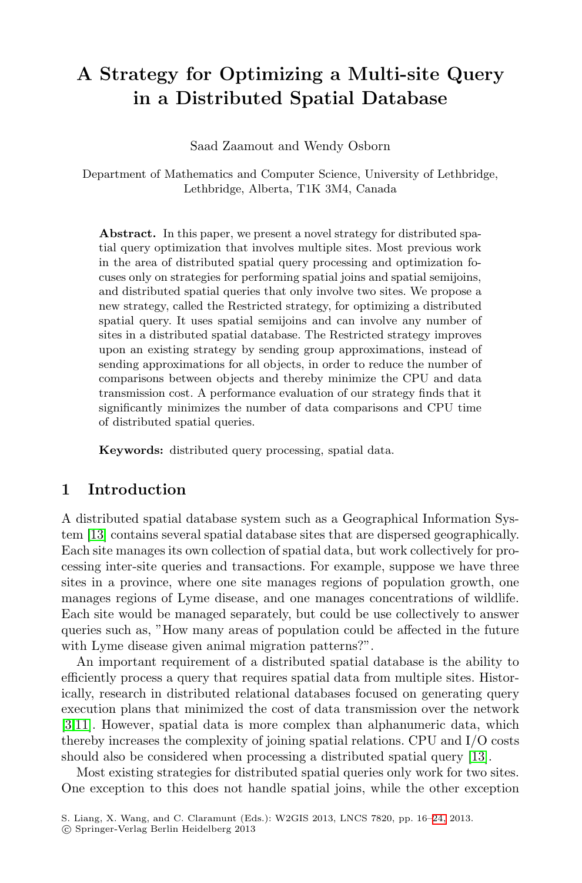# **A Strategy for Optimizing a Multi-site Query in a Distributed Spatial Database**

Saad Zaamout and Wendy Osborn

Department of Mathematics and Computer Science, University of Lethbridge, Lethbridge, Alberta, T1K 3M4, Canada

**Abstract.** In this paper, we present a novel strategy for distributed spatial query optimization that involves multiple sites. Most previous work in the area of distributed spatial query processing and optimization focuses only on strategies for performing spatial joins and spatial semijoins, and distributed spatial queries that only involve two sites. We propose a new strategy, called the Restricted strategy, for optimizing a distributed spatial query. It uses spatial semijoins and can involve any number of sites in a distributed spatial database. The Restricted strategy improves upon an existing strategy by sending group approximations, instead of sending approximations for all objects, in order to reduce the number of comparisons between objects and thereby minimize the CPU and data transmission cost. A performance evaluation of our strategy finds that it significantly minimizes the number of data comparisons and CPU time of distributed spatial queries.

**Keywords:** distributed query processing, spatial data.

# **1 Introduction**

A distributed spatial database system such as a Geographical Information System [13] contains several spatial database sites that are dispersed geographically. Each site manages its own collection of spatial data, but work collectively for processing inter-site queries and transactions. For example, suppose we have three sites in a province, where one site manages regions of population growth, one manages regions of Lyme disease, and one manages concentrations of wildlife. Each site would be managed separately, but could be use collectively to answer queries such as, "How many areas of population cou[ld b](#page-8-0)e affected in the future with Lyme disease given animal migration patterns?".

An important requirement of a distributed spatial database is the ability to efficiently process a query that requires spatial data from multiple sites. Historically, research in distributed relational datab[ase](#page-8-1)s focused on generating query execution plans that minimized the cost of data transmission over the network [3,11]. However, spatial data is more complex than alphanumeric data, which thereby increases the complexity of joining spatial relations. CPU and I/O costs should also be considered when processing a distributed spatial query [13].

Most existing strategies for distributed spatial queries only work for two sites. One exception to this does not handle spatial joins, while the other exception

S. Liang, X. Wang, and C. Claramunt (Eds.): W2GIS 2013, LNCS 7820, pp. 16–24, 2013.

<sup>-</sup>c Springer-Verlag Berlin Heidelberg 2013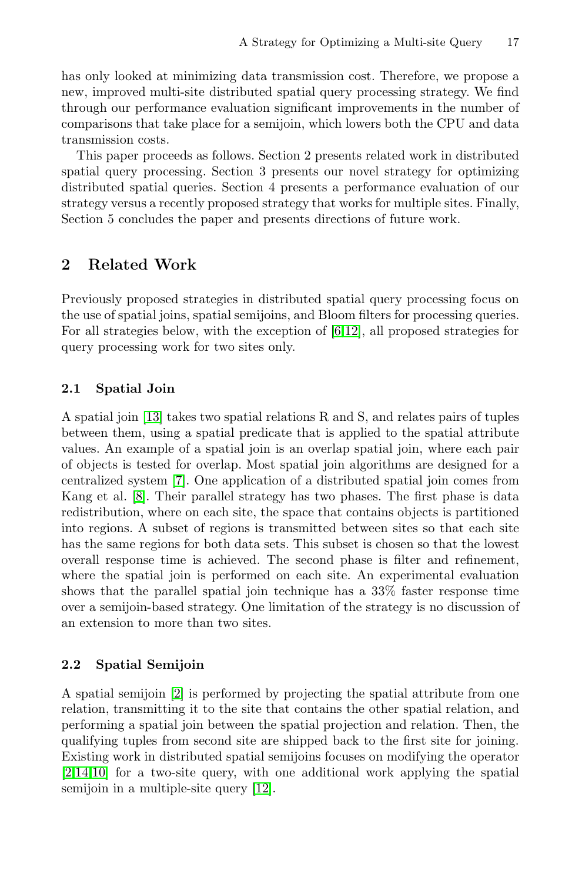has only looked at minimizing data transmission cost. Therefore, we propose a new, improved multi-site distributed spatial query processing strategy. We find through our performance evaluation significant improvements in the number of comparisons that take place for a semijoin, which lowers both the CPU and data transmission costs.

This paper proceeds as follows. Section 2 presents related work in distributed spatial query processing. Section 3 presents our novel strategy for optimizing distributed spatial queries. Section 4 presents a performance evaluation of our strategy versus a recently pro[po](#page-8-2)[sed](#page-8-3) strategy that works for multiple sites. Finally, Section 5 concludes the paper and presents directions of future work.

# **2 Related Work**

Previously proposed strategies in distributed spatial query processing focus on the use of spatial joins, spatial semijoins, and Bloom filters for processing queries. For all strategies below, with the exception of [6,12], all proposed strategies for q[ue](#page-8-4)ry processing work for two sites only.

# **2.1 Spatial Join**

A spatial join [13] takes two spatial relations R and S, and relates pairs of tuples between them, using a spatial predicate that is applied to the spatial attribute values. An example of a spatial join is an overlap spatial join, where each pair of objects is tested for overlap. Most spatial join algorithms are designed for a centralized system [7]. One application of a distributed spatial join comes from Kang et al. [8]. Their parallel strategy has two phases. The first phase is data redistribution, where on each site, the space that contains objects is partitioned into regions. A subset of regions is transmitted between sites so that each site has the same regions for both data sets. This subset is chosen so that the lowest overall response time is achieved. The second phase is filter and refinement, [wh](#page-8-5)ere the spatial join is performed on each site. An experimental evaluation shows that the parallel spatial join technique has a 33% faster response time over a semijoin-based strategy. One limitation of the strategy is no discussion of an extension to more than two sites.

## **2.2 Spatial [Sem](#page-8-3)ijoin**

A spatial semijoin [2] is performed by projecting the spatial attribute from one relation, transmitting it to the site that contains the other spatial relation, and performing a spatial join between the spatial projection and relation. Then, the qualifying tuples from second site are shipped back to the first site for joining. Existing work in distributed spatial semijoins focuses on modifying the operator [2,14,10] for a two-site query, with one additional work applying the spatial semijoin in a multiple-site query [12].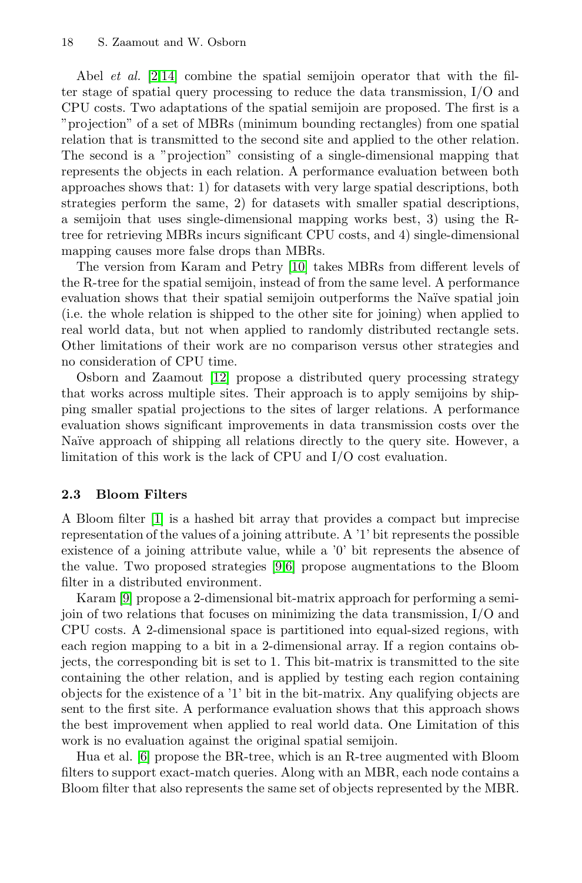#### 18 S. Zaamout and W. Osborn

Abel *et al.* [2,14] combine the spatial semijoin operator that with the filter stage of spatial query processing to reduce the data transmission, I/O and CPU costs. Two adaptations of the spatial semijoin are proposed. The first is a "projection" of a set of MBRs (minimum bounding rectangles) from one spatial relation that is trans[mitt](#page-8-6)ed to the second site and applied to the other relation. The second is a "projection" consisting of a single-dimensional mapping that represents the objects in each relation. A performance evaluation between both approaches shows that: 1) for datasets with very large spatial descriptions, both strategies perform the same, 2) for datasets with smaller spatial descriptions, a semijoin that uses single-dimensional mapping works best, 3) using the Rtree for retrieving MBRs incurs significant CPU costs, and 4) single-dimensional mappin[g ca](#page-8-3)uses more false drops than MBRs.

The version from Karam and Petry [10] takes MBRs from different levels of the R-tree for the spatial semijoin, instead of from the same level. A performance evaluation shows that their spatial semijoin outperforms the Naïve spatial join (i.e. the whole relation is shipped to the other site for joining) when applied to real world data, but not when applied to randomly distributed rectangle sets. Other limitations of their work are no comparison versus other strategies and no consideration of CPU time.

Osborn and Zaamout [12] propose a distributed query processing strategy that works across multiple sites. Their approach is to apply semijoins by shipping smaller spatial projections to the sites of larger relations. A performance evaluation shows significant improvements in data transmission costs over the Naïve approach of [s](#page-8-7)[hip](#page-8-2)ping all relations directly to the query site. However, a limitation of this work is the lack of CPU and I/O cost evaluation.

### **2.3 Bloom Filters**

A Bloom filter [1] is a hashed bit array that provides a compact but imprecise representation of the values of a joining attribute. A '1' bit represents the possible existence of a joining attribute value, while a '0' bit represents the absence of the value. Two proposed strategies [9,6] propose augmentations to the Bloom filter in a distributed environment.

Karam [9] propose a 2-dimensional bit-matrix approach for performing a semijoin of two relations that focuses on minimizing the data transmission, I/O and CPU costs. A 2-dimensional space is partitioned into equal-sized regions, with each region mapping to a bit in a 2-dimensional array. If a region contains objects, the corresponding bit is set to 1. This bit-matrix is transmitted to the site containing the other relation, and is applied by testing each region containing objects for the existence of a '1' bit in the bit-matrix. Any qualifying objects are sent to the first site. A performance evaluation shows that this approach shows the best improvement when applied to real world data. One Limitation of this work is no evaluation against the original spatial semijoin.

Hua et al. [6] propose the BR-tree, which is an R-tree augmented with Bloom filters to support exact-match queries. Along with an MBR, each node contains a Bloom filter that also represents the same set of objects represented by the MBR.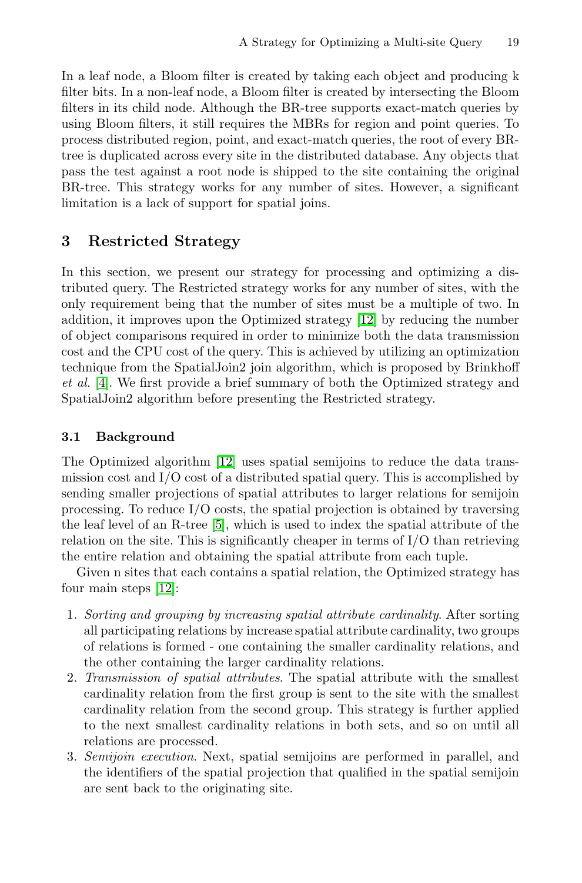In a leaf node, a Bloom filter is created by taking each object and producing k filter bits. In a non-leaf node, a Bloom filter is created by intersecting the Bloom filters in its child node. Although the BR-tree supports exact-match queries by using Bloom filters, it still requires the MBRs for region and point queries. To process distributed region, point, and exact-match queries, the root of every BRtree is duplicated across every site in the distributed database. Any objects that pass the test against a root node is shipped to the site containing the original BR-tree. This strategy works for any number of sites. However, a significant limitation is a lack of support for [spa](#page-8-3)tial joins.

# **3 Restricted Strategy**

In this section, we present our strategy for processing and optimizing a distributed query. The Restricted strategy works for any number of sites, with the only requirement being that the number of sites must be a multiple of two. In addition, it improves upon the Optimized strategy [12] by reducing the number of object [com](#page-8-3)parisons required in order to minimize both the data transmission cost and the CPU cost of the query. This is achieved by utilizing an optimization technique from the SpatialJoin2 join algorithm, which is proposed by Brinkhoff *et al.* [4]. We first provide a brief summary of both the Optimized strategy and SpatialJ[oin](#page-8-8)2 algorithm before presenting the Restricted strategy.

# **3.1 Background**

[T](#page-8-3)he Optimized algorithm [12] uses spatial semijoins to reduce the data transmission cost and I/O cost of a distributed spatial query. This is accomplished by sending smaller projections of spatial attributes to larger relations for semijoin processing. To reduce I/O costs, the spatial projection is obtained by traversing the leaf level of an R-tree [5], which is used to index the spatial attribute of the relation on the site. This is significantly cheaper in terms of  $I/O$  than retrieving the entire relation and obtaining the spatial attribute from each tuple.

Given n sites that each contains a spatial relation, the Optimized strategy has four main steps [12]:

- 1. *Sorting and grouping by increasing spatial attribute cardinality*. After sorting all participating relations by increase spatial attribute cardinality, two groups of relations is formed - one containing the smaller cardinality relations, and the other containing the larger cardinality relations.
- 2. *Transmission of spatial attributes*. The spatial attribute with the smallest cardinality relation from the first group is sent to the site with the smallest cardinality relation from the second group. This strategy is further applied to the next smallest cardinality relations in both sets, and so on until all relations are processed.
- 3. *Semijoin execution*. Next, spatial semijoins are performed in parallel, and the identifiers of the spatial projection that qualified in the spatial semijoin are sent back to the originating site.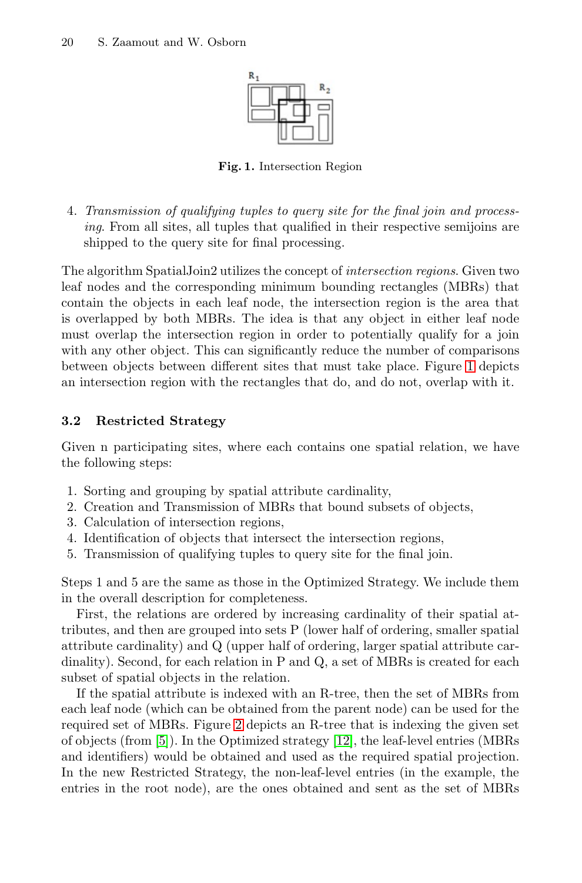#### 20 S. Zaamout and W. Osborn

<span id="page-4-0"></span>

**Fig. 1.** Intersection Region

4. *Transmission of qualifying tuples to query site for the final join and processing*. From all sites, all tuples that qualified in their respective semijoins are shipped to the query site for final processing.

The algorithm SpatialJoin2 utilizes the concept of *intersection regions*. Given two leaf nodes and the corresponding minimum bounding rectangles (MBRs) that contain the objects in each leaf node, the intersection region is the area that is overlapped by both MBRs. The idea is that any object in either leaf node must overlap the intersection region in order to potentially qualify for a join with any other object. This can significantly reduce the number of comparisons between objects between different sites that must take place. Figure 1 depicts an intersection region with the rectangles that do, and do not, overlap with it.

# **3.2 Restricted Strategy**

Given n participating sites, where each contains one spatial relation, we have the following steps:

- 1. Sorting and grouping by spatial attribute cardinality,
- 2. Creation and Transmission of MBRs that bound subsets of objects,
- 3. Calculation of intersection regions,
- 4. Identification of objects that intersect the intersection regions,
- 5. Transmission of qualifying tuples to query site for the final join.

Steps 1 and 5 are the same as those in the Optimized Strategy. We include them in the overa[ll](#page-5-0) description for completeness.

First, the relations are or[dere](#page-8-3)d by increasing cardinality of their spatial at[t](#page-8-8)ributes, and then are grouped into sets P (lower half of ordering, smaller spatial attribute cardinality) and Q (upper half of ordering, larger spatial attribute cardinality). Second, for each relation in P and Q, a set of MBRs is created for each subset of spatial objects in the relation.

If the spatial attribute is indexed with an R-tree, then the set of MBRs from each leaf node (which can be obtained from the parent node) can be used for the required set of MBRs. Figure 2 depicts an R-tree that is indexing the given set of objects (from [5]). In the Optimized strategy [12], the leaf-level entries (MBRs and identifiers) would be obtained and used as the required spatial projection. In the new Restricted Strategy, the non-leaf-level entries (in the example, the entries in the root node), are the ones obtained and sent as the set of MBRs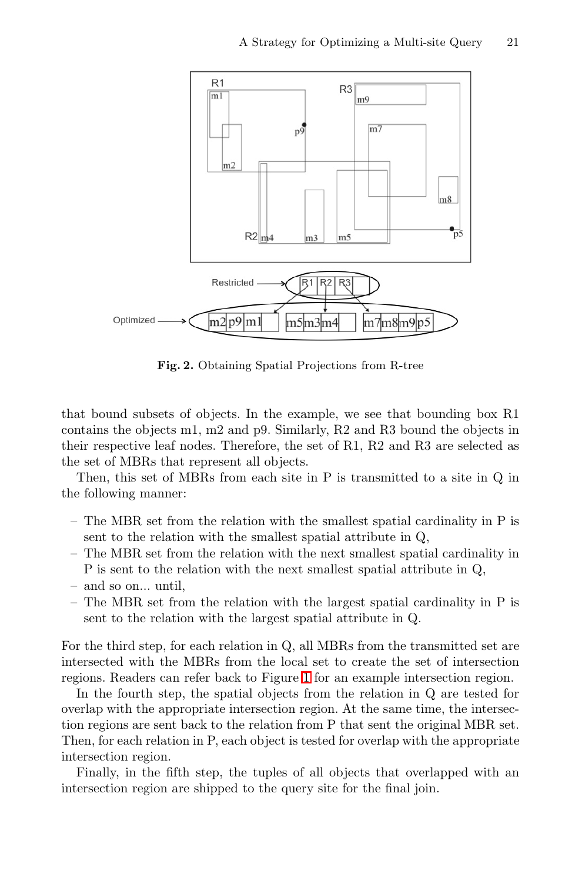<span id="page-5-0"></span>

**Fig. 2.** Obtaining Spatial Projections from R-tree

that bound subsets of objects. In the example, we see that bounding box R1 contains the objects m1, m2 and p9. Similarly, R2 and R3 bound the objects in their respective leaf nodes. Therefore, the set of R1, R2 and R3 are selected as the set of MBRs that represent all objects.

Then, this set of MBRs from each site in P is transmitted to a site in Q in the following manner:

- The MBR set from the relation with the smallest spatial cardinality in P is sent to the relation with the smallest spatial attribute in Q,
- The MBR set from [th](#page-4-0)e relation with the next smallest spatial cardinality in P is sent to the relation with the next smallest spatial attribute in Q,
- and so on... until,
- The MBR set from the relation with the largest spatial cardinality in P is sent to the relation with the largest spatial attribute in Q.

For the third step, for each relation in Q, all MBRs from the transmitted set are intersected with the MBRs from the local set to create the set of intersection regions. Readers can refer back to Figure 1 for an example intersection region.

In the fourth step, the spatial objects from the relation in Q are tested for overlap with the appropriate intersection region. At the same time, the intersection regions are sent back to the relation from P that sent the original MBR set. Then, for each relation in P, each object is tested for overlap with the appropriate intersection region.

Finally, in the fifth step, the tuples of all objects that overlapped with an intersection region are shipped to the query site for the final join.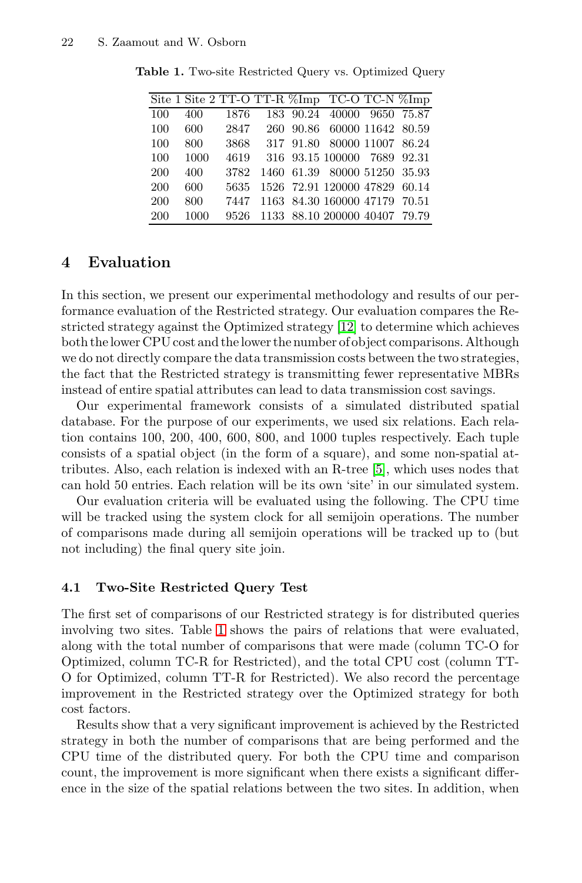#### 22 S. Zaamout and W. Osborn

|     | Site 1 Site 2 TT-O TT-R %Imp TC-O TC-N %Imp |      |           |                               |                   |  |
|-----|---------------------------------------------|------|-----------|-------------------------------|-------------------|--|
| 100 | 400                                         | 1876 |           | 183 90.24 40000 9650 75.87    |                   |  |
| 100 | 600                                         | 2847 | 260 90.86 |                               | 60000 11642 80.59 |  |
| 100 | 800                                         | 3868 |           | 317 91.80 80000 11007 86.24   |                   |  |
| 100 | 1000                                        | 4619 |           | 316 93.15 100000 7689 92.31   |                   |  |
| 200 | 400                                         | 3782 |           | 1460 61.39 80000 51250 35.93  |                   |  |
| 200 | 600                                         | 5635 |           | 1526 72.91 120000 47829 60.14 |                   |  |
| 200 | 800                                         | 7447 |           | 1163 84.30 160000 47179 70.51 |                   |  |
| 200 | 1000                                        | 9526 |           | 1133 88.10 200000 40407 79.79 |                   |  |

<span id="page-6-0"></span>**Table 1.** Two-site Restricted Query vs. Optimized Query

# **4 Evaluation**

In this section, we present our experimental methodology and results of our performance evaluation of the Restricted strategy. Our evaluation compares the Restricted strategy against the Optimized strategy [12] to determine which achieves both the lower CPU cost and the lower [th](#page-8-8)e number of object comparisons. Although we do not directly compare the data transmission costs between the two strategies, the fact that the Restricted strategy is transmitting fewer representative MBRs instead of entire spatial attributes can lead to data transmission cost savings.

Our experimental framework consists of a simulated distributed spatial database. For the purpose of our experiments, we used six relations. Each relation contains 100, 200, 400, 600, 800, and 1000 tuples respectively. Each tuple consists of a spatial object (in the form of a square), and some non-spatial attributes. Also, each relation is indexed with an R-tree [5], which uses nodes that can hold 50 entries. Each relation will be its own 'site' in our simulated system.

Our e[va](#page-6-0)luation criteria will be evaluated using the following. The CPU time will be tracked using the system clock for all semijoin operations. The number of comparisons made during all semijoin operations will be tracked up to (but not including) the final query site join.

# **4.1 Two-Site Restricted Query Test**

The first set of comparisons of our Restricted strategy is for distributed queries involving two sites. Table 1 shows the pairs of relations that were evaluated, along with the total number of comparisons that were made (column TC-O for Optimized, column TC-R for Restricted), and the total CPU cost (column TT-O for Optimized, column TT-R for Restricted). We also record the percentage improvement in the Restricted strategy over the Optimized strategy for both cost factors.

Results show that a very significant improvement is achieved by the Restricted strategy in both the number of comparisons that are being performed and the CPU time of the distributed query. For both the CPU time and comparison count, the improvement is more significant when there exists a significant difference in the size of the spatial relations between the two sites. In addition, when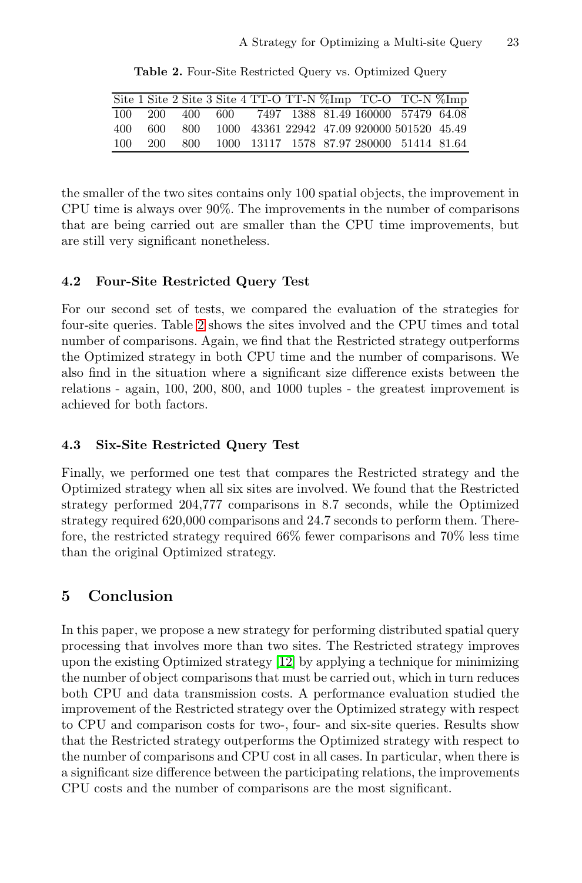|      |     |  |  |  | Site 1 Site 2 Site 3 Site 4 TT-O TT-N %Imp TC-O TC-N %Imp |  |
|------|-----|--|--|--|-----------------------------------------------------------|--|
|      |     |  |  |  | 100 200 400 600 7497 1388 81.49 160000 57479 64.08        |  |
|      |     |  |  |  | 400 600 800 1000 43361 22942 47.09 920000 501520 45.49    |  |
| 100. | 200 |  |  |  | 800 1000 13117 1578 87.97 280000 51414 81.64              |  |

<span id="page-7-0"></span>**Table 2.** Four-Site Restricted Query vs. Optimized Query

the smaller of the two sites contains only 100 spatial objects, the improvement in CPU [ti](#page-7-0)me is always over 90%. The improvements in the number of comparisons that are being carried out are smaller than the CPU time improvements, but are still very significant nonetheless.

# **4.2 Four-Site Restricted Query Test**

For our second set of tests, we compared the evaluation of the strategies for four-site queries. Table 2 shows the sites involved and the CPU times and total number of comparisons. Again, we find that the Restricted strategy outperforms the Optimized strategy in both CPU time and the number of comparisons. We also find in the situation where a significant size difference exists between the relations - again, 100, 200, 800, and 1000 tuples - the greatest improvement is achieved for both factors.

## **4.3 Six-Site Restricted Query Test**

Finally, we performed one test that compares the Restricted strategy and the Optimized strategy when all six sites are involved. We found that the Restricted strategy performed 204,777 comparisons in 8.7 seconds, while the Optimized strategy required 620,000 comparisons and 24.7 seconds to perform them. Therefore, the restricted [stra](#page-8-3)tegy required 66% fewer comparisons and 70% less time than the original Optimized strategy.

# **5 Conclusion**

In this paper, we propose a new strategy for performing distributed spatial query processing that involves more than two sites. The Restricted strategy improves upon the existing Optimized strategy [12] by applying a technique for minimizing the number of object comparisons that must be carried out, which in turn reduces both CPU and data transmission costs. A performance evaluation studied the improvement of the Restricted strategy over the Optimized strategy with respect to CPU and comparison costs for two-, four- and six-site queries. Results show that the Restricted strategy outperforms the Optimized strategy with respect to the number of comparisons and CPU cost in all cases. In particular, when there is a significant size difference between the participating relations, the improvements CPU costs and the number of comparisons are the most significant.